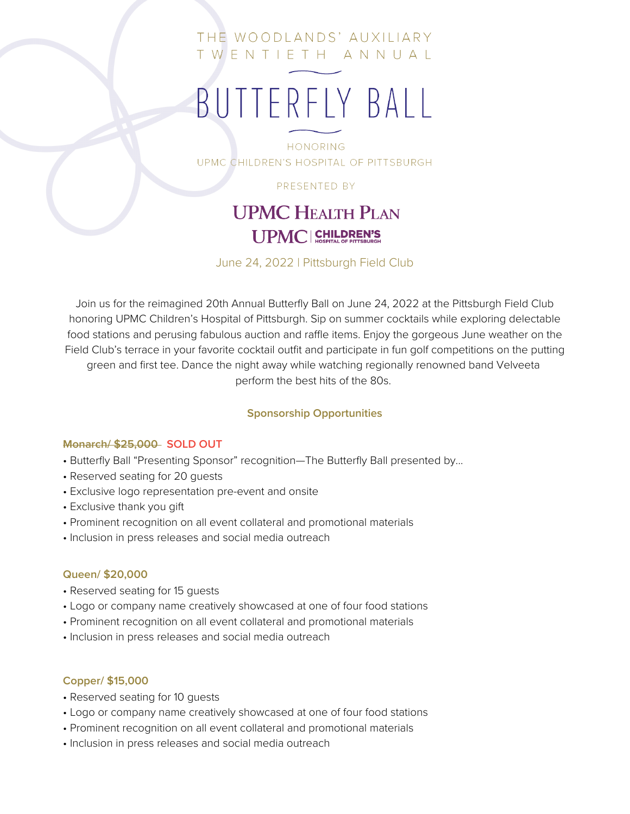### THE WOODLANDS' AUXILIARY TWENTIETH ANNUAL

# BUTTERFLY BALL

**HONORING** UPMC CHILDREN'S HOSPITAL OF PITTSBURGH

PRESENTED BY

## **UPMC HEALTH PLAN UPMC CHILDREN'S**

June 24, 2022 | Pittsburgh Field Club

Join us for the reimagined 20th Annual Butterfly Ball on June 24, 2022 at the Pittsburgh Field Club honoring UPMC Children's Hospital of Pittsburgh. Sip on summer cocktails while exploring delectable food stations and perusing fabulous auction and raffle items. Enjoy the gorgeous June weather on the Field Club's terrace in your favorite cocktail outfit and participate in fun golf competitions on the putting green and first tee. Dance the night away while watching regionally renowned band Velveeta perform the best hits of the 80s.

#### **Sponsorship Opportunities**

#### **Monarch/ \$25,000 SOLD OUT**

- Butterfly Ball "Presenting Sponsor" recognition—The Butterfly Ball presented by...
- Reserved seating for 20 guests
- Exclusive logo representation pre-event and onsite
- Exclusive thank you gift
- Prominent recognition on all event collateral and promotional materials
- Inclusion in press releases and social media outreach

#### **Queen/ \$20,000**

- Reserved seating for 15 guests
- Logo or company name creatively showcased at one of four food stations
- Prominent recognition on all event collateral and promotional materials
- Inclusion in press releases and social media outreach

#### **Copper/ \$15,000**

- Reserved seating for 10 guests
- Logo or company name creatively showcased at one of four food stations
- Prominent recognition on all event collateral and promotional materials
- Inclusion in press releases and social media outreach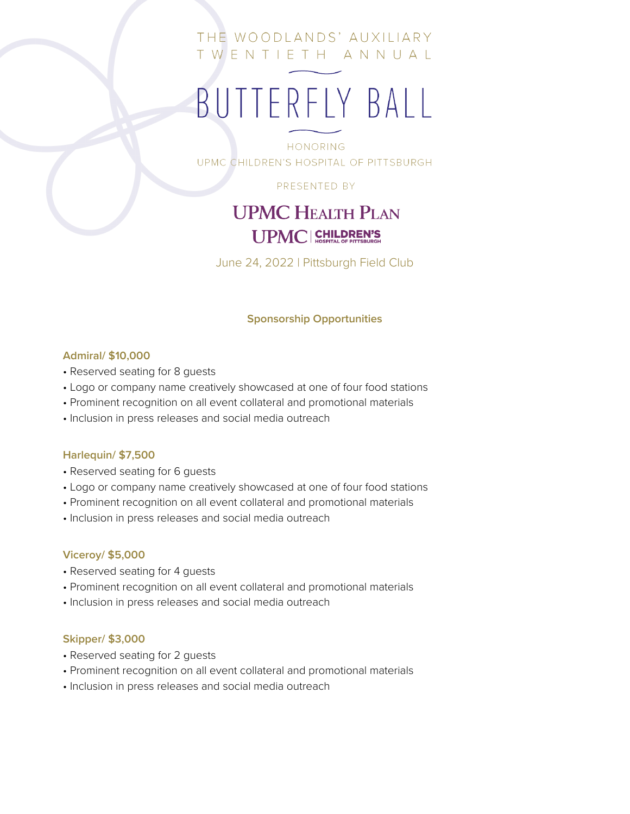### THE WOODLANDS' AUXILIARY TWENTIETH ANNUAL

# BUTTERFLY BALL

**HONORING** UPMC CHILDREN'S HOSPITAL OF PITTSBURGH

PRESENTED BY

## **UPMC HEALTH PLAN** UPMC | CHILDREN'S

June 24, 2022 | Pittsburgh Field Club

#### **Sponsorship Opportunities**

#### **Admiral/ \$10,000**

- Reserved seating for 8 guests
- Logo or company name creatively showcased at one of four food stations
- Prominent recognition on all event collateral and promotional materials
- Inclusion in press releases and social media outreach

#### **Harlequin/ \$7,500**

- Reserved seating for 6 guests
- Logo or company name creatively showcased at one of four food stations
- Prominent recognition on all event collateral and promotional materials
- Inclusion in press releases and social media outreach

#### **Viceroy/ \$5,000**

- Reserved seating for 4 guests
- Prominent recognition on all event collateral and promotional materials
- Inclusion in press releases and social media outreach

#### **Skipper/ \$3,000**

- Reserved seating for 2 guests
- Prominent recognition on all event collateral and promotional materials
- Inclusion in press releases and social media outreach